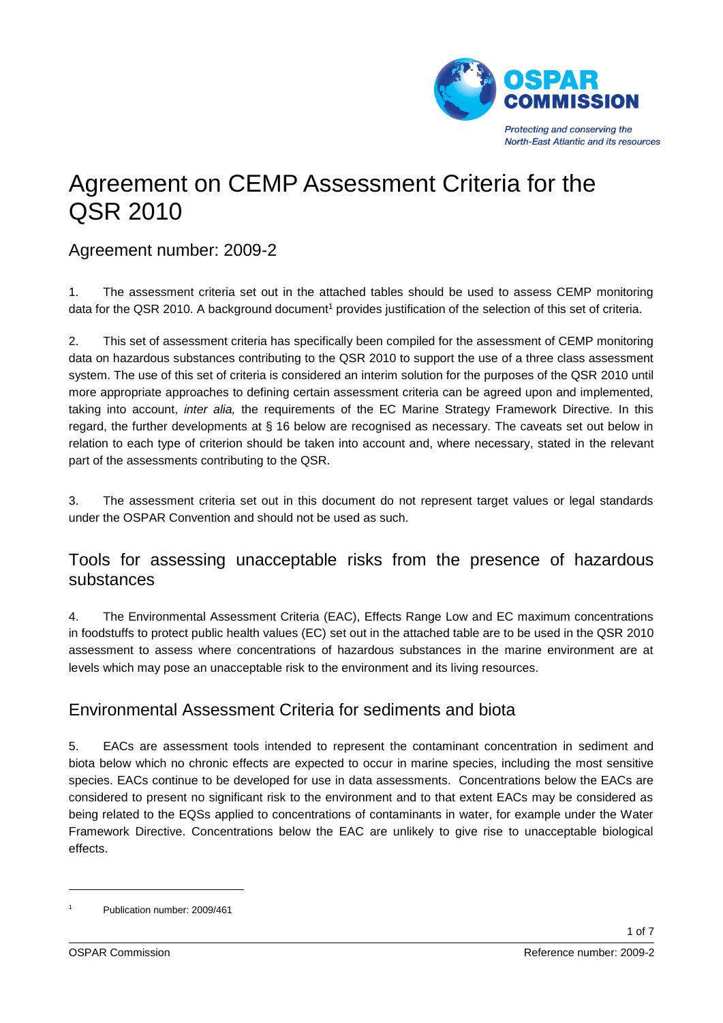

# Agreement on CEMP Assessment Criteria for the QSR 2010

#### Agreement number: 2009-2

1. The assessment criteria set out in the attached tables should be used to assess CEMP monitoring data for the QSR 2010. A background document<sup>1</sup> provides justification of the selection of this set of criteria.

2. This set of assessment criteria has specifically been compiled for the assessment of CEMP monitoring data on hazardous substances contributing to the QSR 2010 to support the use of a three class assessment system. The use of this set of criteria is considered an interim solution for the purposes of the QSR 2010 until more appropriate approaches to defining certain assessment criteria can be agreed upon and implemented, taking into account, *inter alia,* the requirements of the EC Marine Strategy Framework Directive. In this regard, the further developments at § 16 below are recognised as necessary. The caveats set out below in relation to each type of criterion should be taken into account and, where necessary, stated in the relevant part of the assessments contributing to the QSR.

3. The assessment criteria set out in this document do not represent target values or legal standards under the OSPAR Convention and should not be used as such.

#### Tools for assessing unacceptable risks from the presence of hazardous substances

4. The Environmental Assessment Criteria (EAC), Effects Range Low and EC maximum concentrations in foodstuffs to protect public health values (EC) set out in the attached table are to be used in the QSR 2010 assessment to assess where concentrations of hazardous substances in the marine environment are at levels which may pose an unacceptable risk to the environment and its living resources.

## Environmental Assessment Criteria for sediments and biota

5. EACs are assessment tools intended to represent the contaminant concentration in sediment and biota below which no chronic effects are expected to occur in marine species, including the most sensitive species. EACs continue to be developed for use in data assessments. Concentrations below the EACs are considered to present no significant risk to the environment and to that extent EACs may be considered as being related to the EQSs applied to concentrations of contaminants in water, for example under the Water Framework Directive. Concentrations below the EAC are unlikely to give rise to unacceptable biological effects.

1

<sup>1</sup> Publication number: 2009/461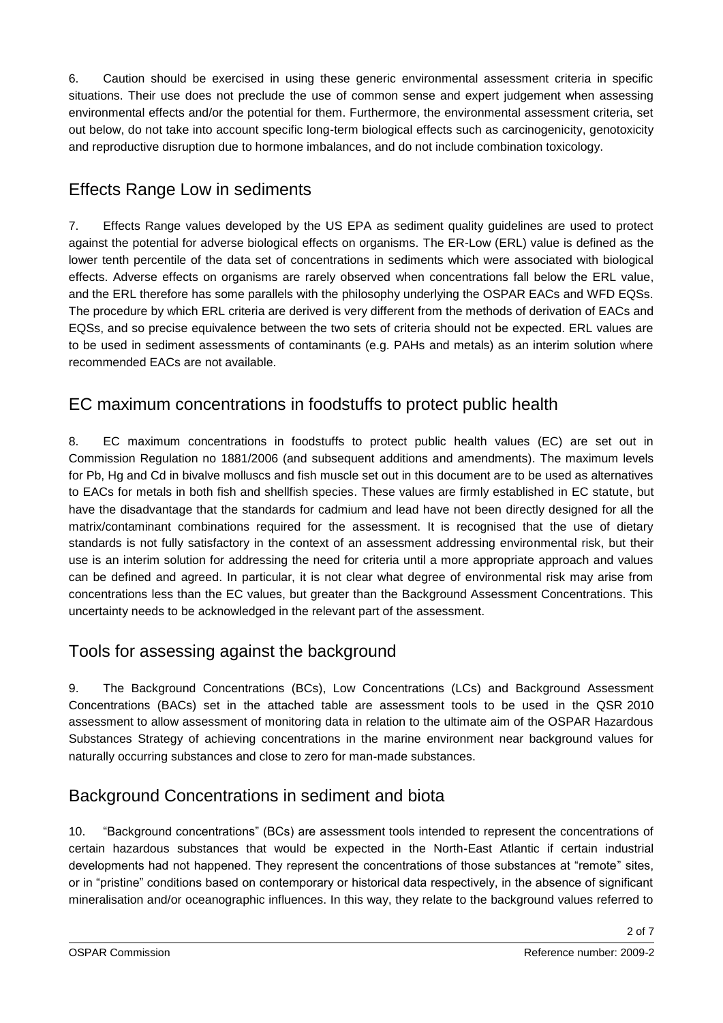6. Caution should be exercised in using these generic environmental assessment criteria in specific situations. Their use does not preclude the use of common sense and expert judgement when assessing environmental effects and/or the potential for them. Furthermore, the environmental assessment criteria, set out below, do not take into account specific long-term biological effects such as carcinogenicity, genotoxicity and reproductive disruption due to hormone imbalances, and do not include combination toxicology.

# Effects Range Low in sediments

7. Effects Range values developed by the US EPA as sediment quality guidelines are used to protect against the potential for adverse biological effects on organisms. The ER-Low (ERL) value is defined as the lower tenth percentile of the data set of concentrations in sediments which were associated with biological effects. Adverse effects on organisms are rarely observed when concentrations fall below the ERL value, and the ERL therefore has some parallels with the philosophy underlying the OSPAR EACs and WFD EQSs. The procedure by which ERL criteria are derived is very different from the methods of derivation of EACs and EQSs, and so precise equivalence between the two sets of criteria should not be expected. ERL values are to be used in sediment assessments of contaminants (e.g. PAHs and metals) as an interim solution where recommended EACs are not available.

# EC maximum concentrations in foodstuffs to protect public health

8. EC maximum concentrations in foodstuffs to protect public health values (EC) are set out in Commission Regulation no 1881/2006 (and subsequent additions and amendments). The maximum levels for Pb, Hg and Cd in bivalve molluscs and fish muscle set out in this document are to be used as alternatives to EACs for metals in both fish and shellfish species. These values are firmly established in EC statute, but have the disadvantage that the standards for cadmium and lead have not been directly designed for all the matrix/contaminant combinations required for the assessment. It is recognised that the use of dietary standards is not fully satisfactory in the context of an assessment addressing environmental risk, but their use is an interim solution for addressing the need for criteria until a more appropriate approach and values can be defined and agreed. In particular, it is not clear what degree of environmental risk may arise from concentrations less than the EC values, but greater than the Background Assessment Concentrations. This uncertainty needs to be acknowledged in the relevant part of the assessment.

# Tools for assessing against the background

9. The Background Concentrations (BCs), Low Concentrations (LCs) and Background Assessment Concentrations (BACs) set in the attached table are assessment tools to be used in the QSR 2010 assessment to allow assessment of monitoring data in relation to the ultimate aim of the OSPAR Hazardous Substances Strategy of achieving concentrations in the marine environment near background values for naturally occurring substances and close to zero for man-made substances.

# Background Concentrations in sediment and biota

10. "Background concentrations" (BCs) are assessment tools intended to represent the concentrations of certain hazardous substances that would be expected in the North-East Atlantic if certain industrial developments had not happened. They represent the concentrations of those substances at "remote" sites, or in "pristine" conditions based on contemporary or historical data respectively, in the absence of significant mineralisation and/or oceanographic influences. In this way, they relate to the background values referred to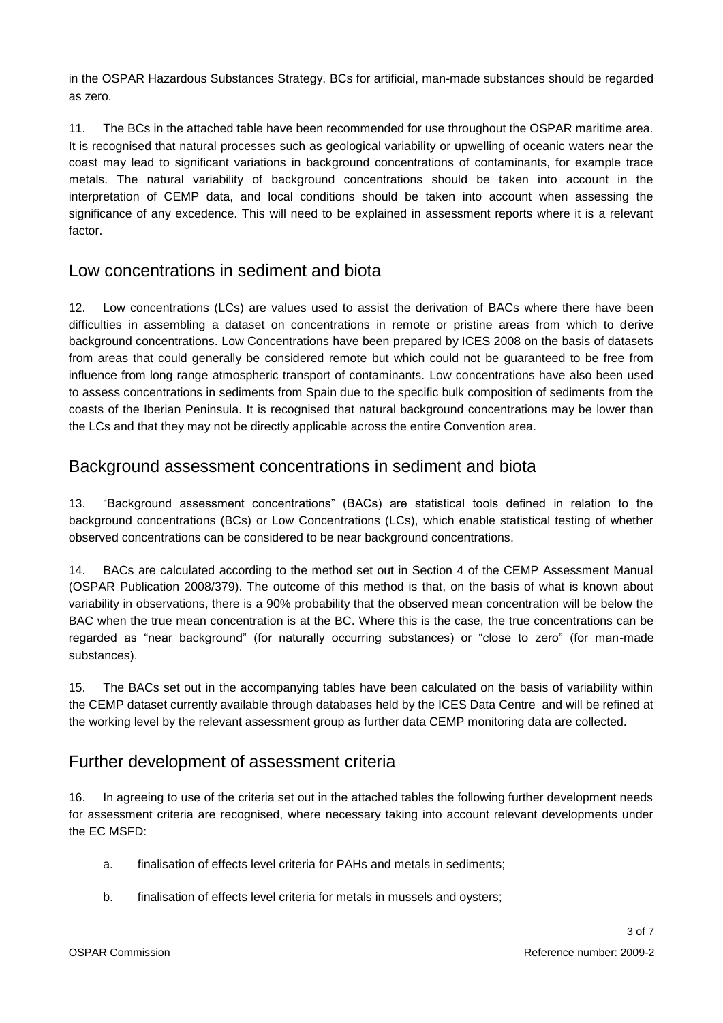in the OSPAR Hazardous Substances Strategy. BCs for artificial, man-made substances should be regarded as zero.

11. The BCs in the attached table have been recommended for use throughout the OSPAR maritime area. It is recognised that natural processes such as geological variability or upwelling of oceanic waters near the coast may lead to significant variations in background concentrations of contaminants, for example trace metals. The natural variability of background concentrations should be taken into account in the interpretation of CEMP data, and local conditions should be taken into account when assessing the significance of any excedence. This will need to be explained in assessment reports where it is a relevant factor.

#### Low concentrations in sediment and biota

12. Low concentrations (LCs) are values used to assist the derivation of BACs where there have been difficulties in assembling a dataset on concentrations in remote or pristine areas from which to derive background concentrations. Low Concentrations have been prepared by ICES 2008 on the basis of datasets from areas that could generally be considered remote but which could not be guaranteed to be free from influence from long range atmospheric transport of contaminants. Low concentrations have also been used to assess concentrations in sediments from Spain due to the specific bulk composition of sediments from the coasts of the Iberian Peninsula. It is recognised that natural background concentrations may be lower than the LCs and that they may not be directly applicable across the entire Convention area.

#### Background assessment concentrations in sediment and biota

13. "Background assessment concentrations" (BACs) are statistical tools defined in relation to the background concentrations (BCs) or Low Concentrations (LCs), which enable statistical testing of whether observed concentrations can be considered to be near background concentrations.

14. BACs are calculated according to the method set out in Section 4 of the CEMP Assessment Manual (OSPAR Publication 2008/379). The outcome of this method is that, on the basis of what is known about variability in observations, there is a 90% probability that the observed mean concentration will be below the BAC when the true mean concentration is at the BC. Where this is the case, the true concentrations can be regarded as "near background" (for naturally occurring substances) or "close to zero" (for man-made substances).

15. The BACs set out in the accompanying tables have been calculated on the basis of variability within the CEMP dataset currently available through databases held by the ICES Data Centre and will be refined at the working level by the relevant assessment group as further data CEMP monitoring data are collected.

## Further development of assessment criteria

16. In agreeing to use of the criteria set out in the attached tables the following further development needs for assessment criteria are recognised, where necessary taking into account relevant developments under the EC MSFD:

- a. finalisation of effects level criteria for PAHs and metals in sediments;
- b. finalisation of effects level criteria for metals in mussels and oysters;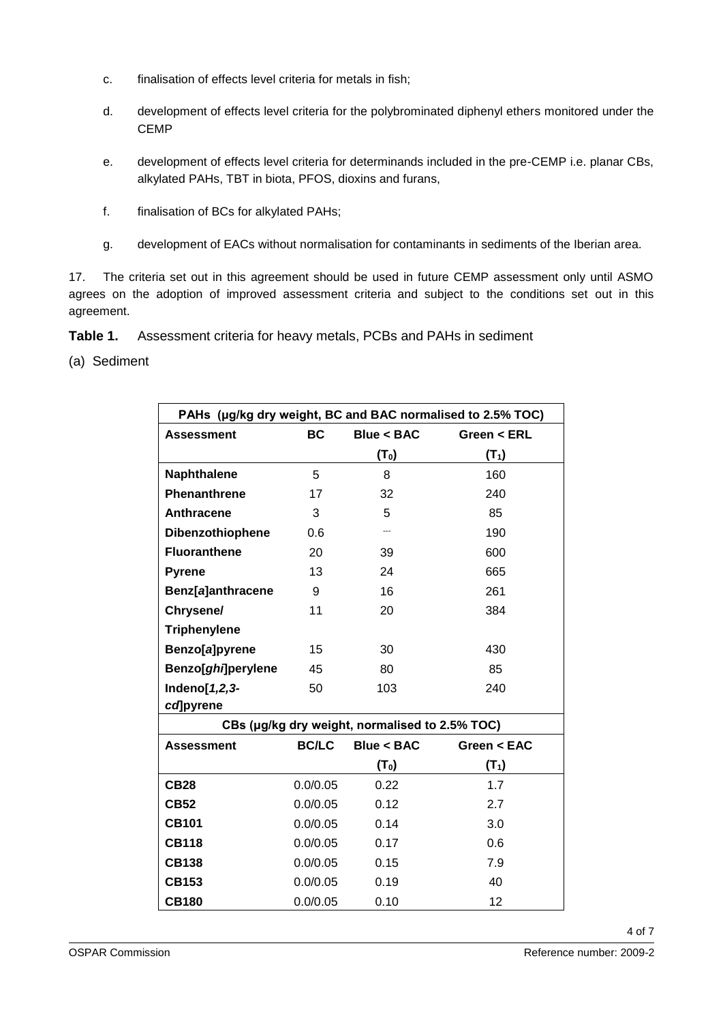- c. finalisation of effects level criteria for metals in fish;
- d. development of effects level criteria for the polybrominated diphenyl ethers monitored under the **CEMP**
- e. development of effects level criteria for determinands included in the pre-CEMP i.e. planar CBs, alkylated PAHs, TBT in biota, PFOS, dioxins and furans,
- f. finalisation of BCs for alkylated PAHs;
- g. development of EACs without normalisation for contaminants in sediments of the Iberian area.

17. The criteria set out in this agreement should be used in future CEMP assessment only until ASMO agrees on the adoption of improved assessment criteria and subject to the conditions set out in this agreement.

**Table 1.** Assessment criteria for heavy metals, PCBs and PAHs in sediment

(a) Sediment

| PAHs (µg/kg dry weight, BC and BAC normalised to 2.5% TOC) |                  |                                                |             |  |
|------------------------------------------------------------|------------------|------------------------------------------------|-------------|--|
| <b>Assessment</b>                                          | BC<br>Blue < BAC |                                                | Green < ERL |  |
|                                                            |                  | (T <sub>0</sub> )                              | $(T_1)$     |  |
| <b>Naphthalene</b>                                         | 5                | 8                                              | 160         |  |
| Phenanthrene                                               | 17               | 32                                             | 240         |  |
| Anthracene                                                 | 3                | 5                                              | 85          |  |
| Dibenzothiophene                                           | 0.6              |                                                | 190         |  |
| <b>Fluoranthene</b>                                        | 20               | 39                                             | 600         |  |
| <b>Pyrene</b>                                              | 13               | 24                                             | 665         |  |
| Benz[a]anthracene                                          | 9                | 16                                             | 261         |  |
| Chrysene/                                                  | 11               | 20                                             | 384         |  |
| <b>Triphenylene</b>                                        |                  |                                                |             |  |
| Benzo[a]pyrene                                             | 15               | 30                                             | 430         |  |
| Benzo[ghi]perylene                                         | 45               | 80                                             | 85          |  |
| Indeno[1,2,3-                                              | 50               | 103                                            | 240         |  |
| cd]pyrene                                                  |                  |                                                |             |  |
|                                                            |                  | CBs (µg/kg dry weight, normalised to 2.5% TOC) |             |  |
| <b>Assessment</b>                                          | <b>BC/LC</b>     | Blue < BAC                                     | Green < EAC |  |
|                                                            |                  | (T <sub>0</sub> )                              | $(T_1)$     |  |
| <b>CB28</b>                                                | 0.0/0.05         | 0.22                                           | 1.7         |  |
| <b>CB52</b>                                                | 0.0/0.05         | 0.12                                           | 2.7         |  |
| <b>CB101</b>                                               | 0.0/0.05         | 0.14                                           | 3.0         |  |
| <b>CB118</b>                                               | 0.0/0.05         | 0.17                                           | 0.6         |  |
| <b>CB138</b>                                               | 0.0/0.05         | 0.15                                           | 7.9         |  |
| <b>CB153</b>                                               | 0.0/0.05         | 0.19                                           | 40          |  |
| <b>CB180</b>                                               | 0.0/0.05         | 0.10                                           | 12          |  |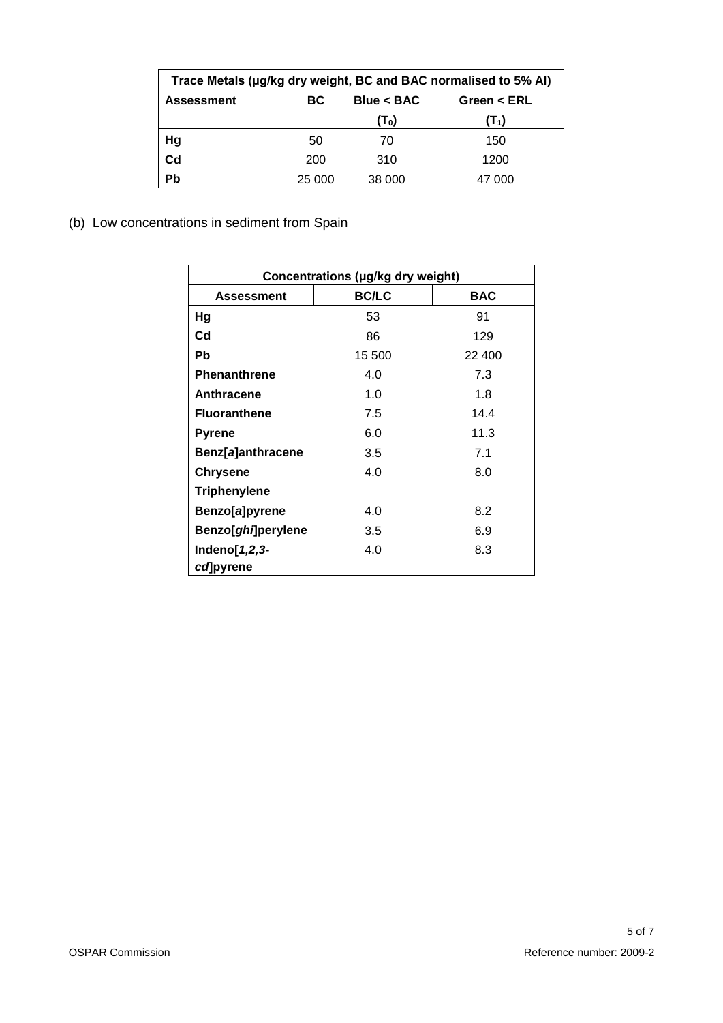| Trace Metals (µg/kg dry weight, BC and BAC normalised to 5% Al) |                   |                   |               |  |
|-----------------------------------------------------------------|-------------------|-------------------|---------------|--|
| <b>Assessment</b>                                               | Blue < BAC<br>BC. |                   | Green $<$ ERL |  |
|                                                                 |                   | (T <sub>0</sub> ) | $(T_1)$       |  |
| Hg                                                              | 50                | 70                | 150           |  |
| C <sub>d</sub>                                                  | 200               | 310               | 1200          |  |
| Pb                                                              | 25 000            | 38 000            | 47 000        |  |

(b) Low concentrations in sediment from Spain

| Concentrations (µg/kg dry weight) |              |            |  |
|-----------------------------------|--------------|------------|--|
| <b>Assessment</b>                 | <b>BC/LC</b> | <b>BAC</b> |  |
| Hg                                | 53           | 91         |  |
| C <sub>d</sub>                    | 86           | 129        |  |
| <b>Pb</b>                         | 15 500       | 22 400     |  |
| <b>Phenanthrene</b>               | 4.0          | 7.3        |  |
| Anthracene                        | 1.0          | 1.8        |  |
| <b>Fluoranthene</b>               | 7.5          | 14.4       |  |
| <b>Pyrene</b>                     | 6.0          | 11.3       |  |
| Benz[a]anthracene                 | 3.5          | 7.1        |  |
| <b>Chrysene</b>                   | 4.0          | 8.0        |  |
| <b>Triphenylene</b>               |              |            |  |
| Benzo[a]pyrene                    | 4.0          | 8.2        |  |
| Benzo[ <i>ghi</i> ]perylene       | 3.5          | 6.9        |  |
| Indeno $[1,2,3-$                  | 4.0          | 8.3        |  |
| cd]pyrene                         |              |            |  |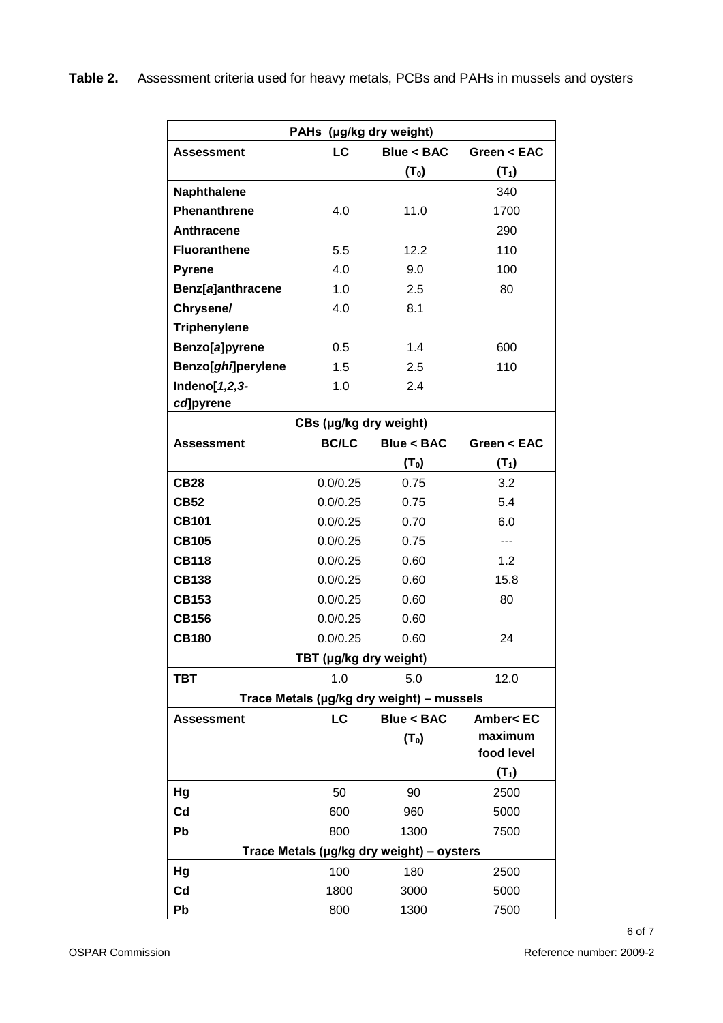| PAHs (µg/kg dry weight) |                        |                                           |                              |  |
|-------------------------|------------------------|-------------------------------------------|------------------------------|--|
| <b>Assessment</b>       | LC                     | Blue < BAC                                | Green $<$ EAC                |  |
|                         |                        | (T <sub>0</sub> )                         | $(T_1)$                      |  |
| <b>Naphthalene</b>      |                        |                                           | 340                          |  |
| Phenanthrene            | 4.0                    | 11.0                                      | 1700                         |  |
| Anthracene              |                        |                                           | 290                          |  |
| <b>Fluoranthene</b>     | 5.5                    | 12.2                                      | 110                          |  |
| <b>Pyrene</b>           | 4.0                    | 9.0                                       | 100                          |  |
| Benz[a]anthracene       | 1.0                    | 2.5                                       | 80                           |  |
| Chrysene/               | 4.0                    | 8.1                                       |                              |  |
| <b>Triphenylene</b>     |                        |                                           |                              |  |
| Benzo[a]pyrene          | 0.5                    | 1.4                                       | 600                          |  |
| Benzo[ghi]perylene      | 1.5                    | 2.5                                       | 110                          |  |
| Indeno[1,2,3-           | 1.0                    | 2.4                                       |                              |  |
| cd]pyrene               |                        |                                           |                              |  |
| CBs (µg/kg dry weight)  |                        |                                           |                              |  |
| <b>Assessment</b>       | <b>BC/LC</b>           | Blue < BAC                                | Green $<$ EAC                |  |
|                         |                        | (T <sub>0</sub> )                         | $(T_1)$                      |  |
| <b>CB28</b>             | 0.0/0.25               | 0.75                                      | 3.2                          |  |
| <b>CB52</b>             | 0.0/0.25               | 0.75                                      | 5.4                          |  |
| <b>CB101</b>            | 0.0/0.25               | 0.70                                      | 6.0                          |  |
| <b>CB105</b>            | 0.0/0.25               | 0.75                                      |                              |  |
| <b>CB118</b>            | 0.0/0.25               | 0.60                                      | 1.2                          |  |
| <b>CB138</b>            | 0.0/0.25               | 0.60                                      | 15.8                         |  |
| <b>CB153</b>            | 0.0/0.25               | 0.60                                      | 80                           |  |
| <b>CB156</b>            | 0.0/0.25               | 0.60                                      |                              |  |
| <b>CB180</b>            | 0.0/0.25               | 0.60                                      | 24                           |  |
|                         | TBT (µg/kg dry weight) |                                           |                              |  |
| TBT                     | 1.0                    | 5.0                                       | 12.0                         |  |
|                         |                        | Trace Metals (µg/kg dry weight) - mussels |                              |  |
| <b>Assessment</b>       | LC                     | <b>Blue &lt; BAC</b>                      | <b>Amber<ec< b=""></ec<></b> |  |
|                         |                        | (T <sub>0</sub> )                         | maximum                      |  |
|                         |                        |                                           | food level                   |  |
|                         |                        |                                           | $(T_1)$                      |  |
| Hg                      | 50                     | 90                                        | 2500                         |  |
| Cd                      | 600                    | 960                                       | 5000                         |  |
| Pb                      | 800                    | 1300                                      | 7500                         |  |
|                         |                        | Trace Metals (µg/kg dry weight) - oysters |                              |  |
| Hg                      | 100                    | 180                                       | 2500                         |  |
| Cd                      | 1800                   | 3000                                      | 5000                         |  |
| Pb                      | 800                    | 1300                                      | 7500                         |  |